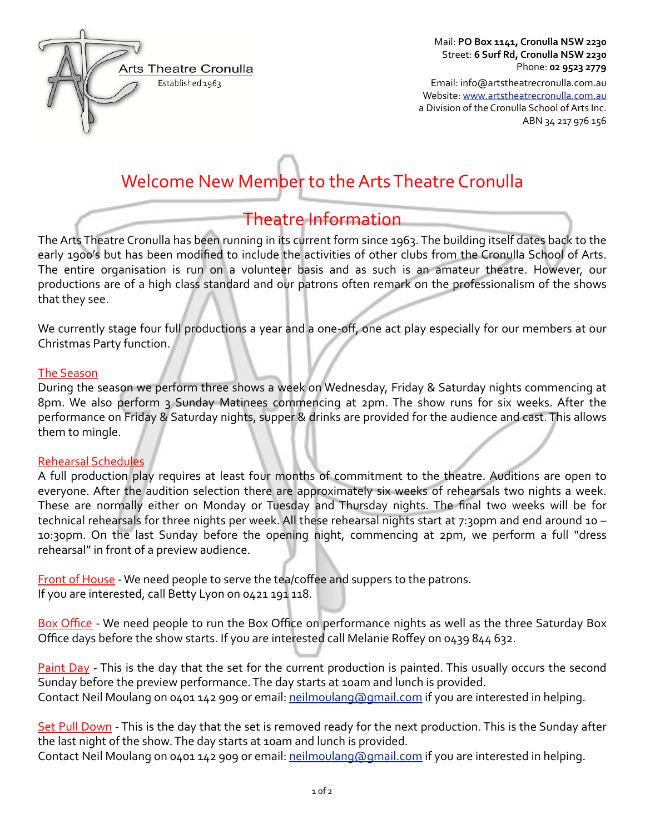

Mail: PO Box 1141, Cronulla NSW 2230 Street: 6 Surf Rd, Cronulla NSW 2230 Phone: **02 9523 2779** 

Email: info@artstheatrecronulla.com.au Website: [www.artstheatrecronulla.com.au](http://www.artstheatrecronulla.com.au) a Division of the Cronulla School of Arts Inc. ABN 34 217 976 156

# Welcome New Member to the Arts Theatre Cronulla

### Theatre Information

The Arts Theatre Cronulla has been running in its current form since 1963. The building itself dates back to the early 1900's but has been modified to include the activities of other clubs from the Cronulla School of Arts. The entire organisation is run on a volunteer basis and as such is an amateur theatre. However, our productions are of a high class standard and our patrons often remark on the professionalism of the shows that they see.

We currently stage four full productions a year and a one-off, one act play especially for our members at our Christmas Party function.

#### **The Season**

During the season we perform three shows a week on Wednesday, Friday & Saturday nights commencing at 8pm. We also perform 3 Sunday Matinees commencing at 2pm. The show runs for six weeks. After the performance on Friday & Saturday nights, supper & drinks are provided for the audience and cast. This allows them to mingle.

#### Rehearsal Schedules

A full production play requires at least four months of commitment to the theatre. Auditions are open to everyone. After the audition selection there are approximately six weeks of rehearsals two nights a week. These are normally either on Monday or Tuesday and Thursday nights. The final two weeks will be for technical rehearsals for three nights per week. All these rehearsal nights start at 7:30pm and end around 10 – 10:30pm. On the last Sunday before the opening night, commencing at 2pm, we perform a full "dress' rehearsal" in front of a preview audience.

Front of House - We need people to serve the tea/coffee and suppers to the patrons. If you are interested, call Betty Lyon on 0421 191 118.

Box Office - We need people to run the Box Office on performance nights as well as the three Saturday Box Office days before the show starts. If you are interested call Melanie Roffey on 0439 844 632.

Paint Day - This is the day that the set for the current production is painted. This usually occurs the second Sunday before the preview performance. The day starts at 10am and lunch is provided. Contact Neil Moulang on 0401 142 909 or email: [neilmoulang@gmail.com](mailto:jebruce@optusnet.com.au) if you are interested in helping.

Set Pull Down - This is the day that the set is removed ready for the next production. This is the Sunday after the last night of the show. The day starts at 10am and lunch is provided. Contact Neil Moulang on 0401 142 909 or email: [neilmoulang@gmail.com](mailto:jebruce@optusnet.com.au) if you are interested in helping.